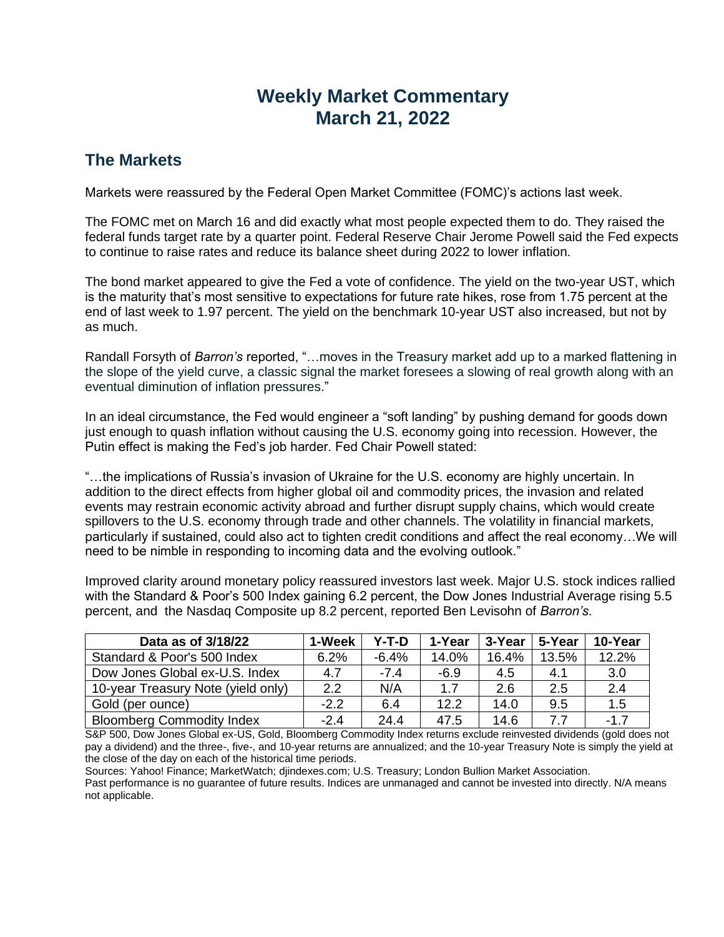## **Weekly Market Commentary March 21, 2022**

## **The Markets**

Markets were reassured by the Federal Open Market Committee (FOMC)'s actions last week.

The FOMC met on March 16 and did exactly what most people expected them to do. They raised the federal funds target rate by a quarter point. Federal Reserve Chair Jerome Powell said the Fed expects to continue to raise rates and reduce its balance sheet during 2022 to lower inflation.

The bond market appeared to give the Fed a vote of confidence. The yield on the two-year UST, which is the maturity that's most sensitive to expectations for future rate hikes, rose from 1.75 percent at the end of last week to 1.97 percent. The yield on the benchmark 10-year UST also increased, but not by as much.

Randall Forsyth of *Barron's* reported, "…moves in the Treasury market add up to a marked flattening in the slope of the yield curve, a classic signal the market foresees a slowing of real growth along with an eventual diminution of inflation pressures."

In an ideal circumstance, the Fed would engineer a "soft landing" by pushing demand for goods down just enough to quash inflation without causing the U.S. economy going into recession. However, the Putin effect is making the Fed's job harder. Fed Chair Powell stated:

"…the implications of Russia's invasion of Ukraine for the U.S. economy are highly uncertain. In addition to the direct effects from higher global oil and commodity prices, the invasion and related events may restrain economic activity abroad and further disrupt supply chains, which would create spillovers to the U.S. economy through trade and other channels. The volatility in financial markets, particularly if sustained, could also act to tighten credit conditions and affect the real economy…We will need to be nimble in responding to incoming data and the evolving outlook."

Improved clarity around monetary policy reassured investors last week. Major U.S. stock indices rallied with the Standard & Poor's 500 Index gaining 6.2 percent, the Dow Jones Industrial Average rising 5.5 percent, and the Nasdaq Composite up 8.2 percent, reported Ben Levisohn of *Barron's*.

| Data as of 3/18/22                 | 1-Week | Y-T-D   | 1-Year | 3-Year | 5-Year | 10-Year |
|------------------------------------|--------|---------|--------|--------|--------|---------|
| Standard & Poor's 500 Index        | 6.2%   | $-6.4%$ | 14.0%  | 16.4%  | 13.5%  | 12.2%   |
| Dow Jones Global ex-U.S. Index     | 4.7    | $-7.4$  | $-6.9$ | 4.5    | 4.1    | 3.0     |
| 10-year Treasury Note (yield only) | 2.2    | N/A     | 1.7    | 2.6    | 2.5    | 2.4     |
| Gold (per ounce)                   | $-2.2$ | 6.4     | 12.2   | 14.0   | 9.5    | 1.5     |
| <b>Bloomberg Commodity Index</b>   | $-2.4$ | 24.4    | 47.5   | 14.6   |        | $-1.7$  |

S&P 500, Dow Jones Global ex-US, Gold, Bloomberg Commodity Index returns exclude reinvested dividends (gold does not pay a dividend) and the three-, five-, and 10-year returns are annualized; and the 10-year Treasury Note is simply the yield at the close of the day on each of the historical time periods.

Sources: Yahoo! Finance; MarketWatch; djindexes.com; U.S. Treasury; London Bullion Market Association. Past performance is no guarantee of future results. Indices are unmanaged and cannot be invested into directly. N/A means

not applicable.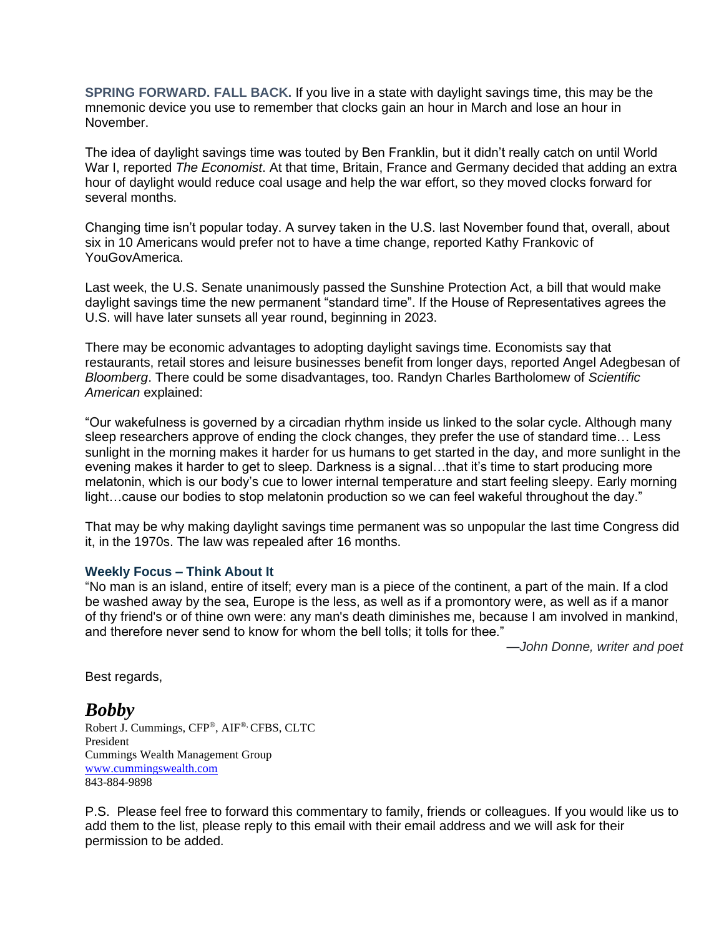**SPRING FORWARD. FALL BACK.** If you live in a state with daylight savings time, this may be the mnemonic device you use to remember that clocks gain an hour in March and lose an hour in November.

The idea of daylight savings time was touted by Ben Franklin, but it didn't really catch on until World War I, reported *The Economist*. At that time, Britain, France and Germany decided that adding an extra hour of daylight would reduce coal usage and help the war effort, so they moved clocks forward for several months.

Changing time isn't popular today. A survey taken in the U.S. last November found that, overall, about six in 10 Americans would prefer not to have a time change, reported Kathy Frankovic of YouGovAmerica.

Last week, the U.S. Senate unanimously passed the Sunshine Protection Act, a bill that would make daylight savings time the new permanent "standard time". If the House of Representatives agrees the U.S. will have later sunsets all year round, beginning in 2023.

There may be economic advantages to adopting daylight savings time. Economists say that restaurants, retail stores and leisure businesses benefit from longer days, reported Angel Adegbesan of *Bloomberg*. There could be some disadvantages, too. Randyn Charles Bartholomew of *Scientific American* explained:

"Our wakefulness is governed by a circadian rhythm inside us linked to the solar cycle. Although many sleep researchers approve of ending the clock changes, they prefer the use of standard time… Less sunlight in the morning makes it harder for us humans to get started in the day, and more sunlight in the evening makes it harder to get to sleep. Darkness is a signal…that it's time to start producing more melatonin, which is our body's cue to lower internal temperature and start feeling sleepy. Early morning light...cause our bodies to stop melatonin production so we can feel wakeful throughout the day."

That may be why making daylight savings time permanent was so unpopular the last time Congress did it, in the 1970s. The law was repealed after 16 months.

## **Weekly Focus – Think About It**

"No man is an island, entire of itself; every man is a piece of the continent, a part of the main. If a clod be washed away by the sea, Europe is the less, as well as if a promontory were, as well as if a manor of thy friend's or of thine own were: any man's death diminishes me, because I am involved in mankind, and therefore never send to know for whom the bell tolls; it tolls for thee."

*—John Donne, writer and poet*

Best regards,

*Bobby* Robert J. Cummings, CFP®, AIF®, CFBS, CLTC President Cummings Wealth Management Group [www.cummingswealth.com](http://www.cummingswealth.com/) 843-884-9898

P.S. Please feel free to forward this commentary to family, friends or colleagues. If you would like us to add them to the list, please reply to this email with their email address and we will ask for their permission to be added.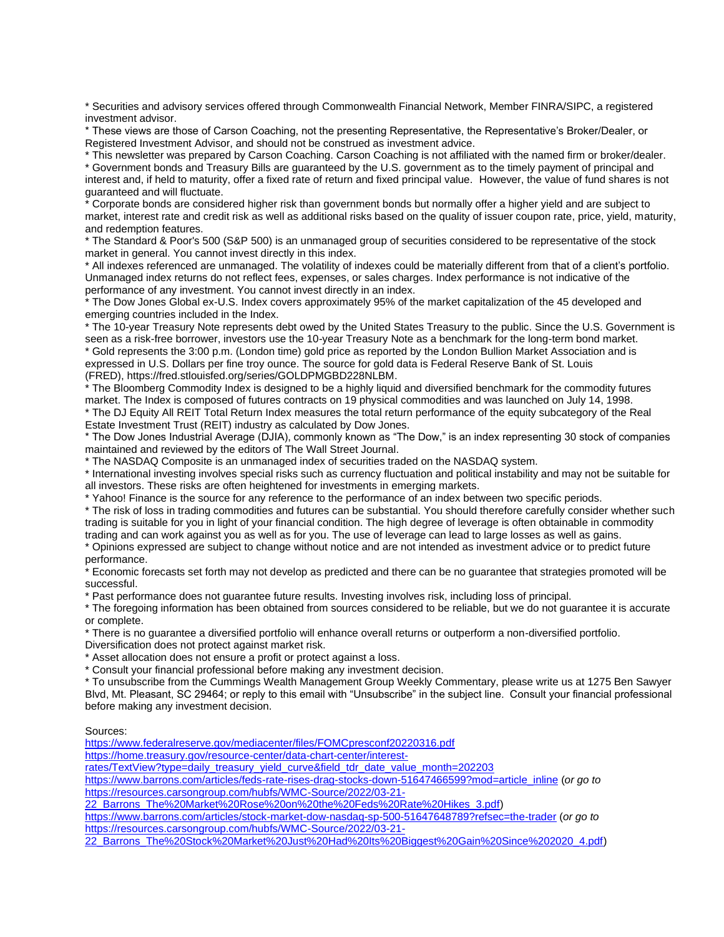\* Securities and advisory services offered through Commonwealth Financial Network, Member FINRA/SIPC, a registered investment advisor.

\* These views are those of Carson Coaching, not the presenting Representative, the Representative's Broker/Dealer, or Registered Investment Advisor, and should not be construed as investment advice.

\* This newsletter was prepared by Carson Coaching. Carson Coaching is not affiliated with the named firm or broker/dealer. \* Government bonds and Treasury Bills are guaranteed by the U.S. government as to the timely payment of principal and interest and, if held to maturity, offer a fixed rate of return and fixed principal value. However, the value of fund shares is not guaranteed and will fluctuate.

\* Corporate bonds are considered higher risk than government bonds but normally offer a higher yield and are subject to market, interest rate and credit risk as well as additional risks based on the quality of issuer coupon rate, price, yield, maturity, and redemption features.

\* The Standard & Poor's 500 (S&P 500) is an unmanaged group of securities considered to be representative of the stock market in general. You cannot invest directly in this index.

\* All indexes referenced are unmanaged. The volatility of indexes could be materially different from that of a client's portfolio. Unmanaged index returns do not reflect fees, expenses, or sales charges. Index performance is not indicative of the performance of any investment. You cannot invest directly in an index.

\* The Dow Jones Global ex-U.S. Index covers approximately 95% of the market capitalization of the 45 developed and emerging countries included in the Index.

\* The 10-year Treasury Note represents debt owed by the United States Treasury to the public. Since the U.S. Government is seen as a risk-free borrower, investors use the 10-year Treasury Note as a benchmark for the long-term bond market. \* Gold represents the 3:00 p.m. (London time) gold price as reported by the London Bullion Market Association and is expressed in U.S. Dollars per fine troy ounce. The source for gold data is Federal Reserve Bank of St. Louis (FRED), https://fred.stlouisfed.org/series/GOLDPMGBD228NLBM.

The Bloomberg Commodity Index is designed to be a highly liquid and diversified benchmark for the commodity futures market. The Index is composed of futures contracts on 19 physical commodities and was launched on July 14, 1998. \* The DJ Equity All REIT Total Return Index measures the total return performance of the equity subcategory of the Real Estate Investment Trust (REIT) industry as calculated by Dow Jones.

\* The Dow Jones Industrial Average (DJIA), commonly known as "The Dow," is an index representing 30 stock of companies maintained and reviewed by the editors of The Wall Street Journal.

\* The NASDAQ Composite is an unmanaged index of securities traded on the NASDAQ system.

\* International investing involves special risks such as currency fluctuation and political instability and may not be suitable for all investors. These risks are often heightened for investments in emerging markets.

\* Yahoo! Finance is the source for any reference to the performance of an index between two specific periods.

\* The risk of loss in trading commodities and futures can be substantial. You should therefore carefully consider whether such trading is suitable for you in light of your financial condition. The high degree of leverage is often obtainable in commodity trading and can work against you as well as for you. The use of leverage can lead to large losses as well as gains.

\* Opinions expressed are subject to change without notice and are not intended as investment advice or to predict future performance.

\* Economic forecasts set forth may not develop as predicted and there can be no guarantee that strategies promoted will be successful.

\* Past performance does not guarantee future results. Investing involves risk, including loss of principal.

\* The foregoing information has been obtained from sources considered to be reliable, but we do not guarantee it is accurate or complete.

\* There is no guarantee a diversified portfolio will enhance overall returns or outperform a non-diversified portfolio. Diversification does not protect against market risk.

\* Asset allocation does not ensure a profit or protect against a loss.

\* Consult your financial professional before making any investment decision.

\* To unsubscribe from the Cummings Wealth Management Group Weekly Commentary, please write us at 1275 Ben Sawyer Blvd, Mt. Pleasant, SC 29464; or reply to this email with "Unsubscribe" in the subject line. Consult your financial professional before making any investment decision.

## Sources:

<https://www.federalreserve.gov/mediacenter/files/FOMCpresconf20220316.pdf>

[https://home.treasury.gov/resource-center/data-chart-center/interest-](https://home.treasury.gov/resource-center/data-chart-center/interest-rates/TextView?type=daily_treasury_yield_curve&field_tdr_date_value_month=202203)

[rates/TextView?type=daily\\_treasury\\_yield\\_curve&field\\_tdr\\_date\\_value\\_month=202203](https://home.treasury.gov/resource-center/data-chart-center/interest-rates/TextView?type=daily_treasury_yield_curve&field_tdr_date_value_month=202203)

[https://www.barrons.com/articles/feds-rate-rises-drag-stocks-down-51647466599?mod=article\\_inline](https://www.barrons.com/articles/feds-rate-rises-drag-stocks-down-51647466599?mod=article_inline) (*or go to*  [https://resources.carsongroup.com/hubfs/WMC-Source/2022/03-21-](https://resources.carsongroup.com/hubfs/WMC-Source/2022/03-21-22_Barrons_The%20Market%20Rose%20on%20the%20Feds%20Rate%20Hikes_3.pdf)

[22\\_Barrons\\_The%20Market%20Rose%20on%20the%20Feds%20Rate%20Hikes\\_3.pdf\)](https://resources.carsongroup.com/hubfs/WMC-Source/2022/03-21-22_Barrons_The%20Market%20Rose%20on%20the%20Feds%20Rate%20Hikes_3.pdf)

<https://www.barrons.com/articles/stock-market-dow-nasdaq-sp-500-51647648789?refsec=the-trader> (*or go to*  [https://resources.carsongroup.com/hubfs/WMC-Source/2022/03-21-](https://resources.carsongroup.com/hubfs/WMC-Source/2022/03-21-22_Barrons_The%20Stock%20Market%20Just%20Had%20Its%20Biggest%20Gain%20Since%202020_4.pdf)

[22\\_Barrons\\_The%20Stock%20Market%20Just%20Had%20Its%20Biggest%20Gain%20Since%202020\\_4.pdf\)](https://resources.carsongroup.com/hubfs/WMC-Source/2022/03-21-22_Barrons_The%20Stock%20Market%20Just%20Had%20Its%20Biggest%20Gain%20Since%202020_4.pdf)